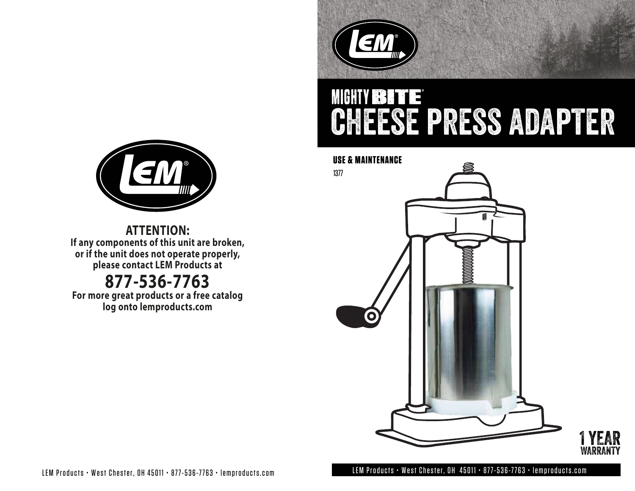

# MINITY ISSUE C CHEESE PRESS ADAPTER







**ATTENTION: If any components of this unit are broken, or if the unit does not operate properly, please contact LEM Products at**

## **877-536-7763**

**For more great products or a free catalog log onto lemproducts.com**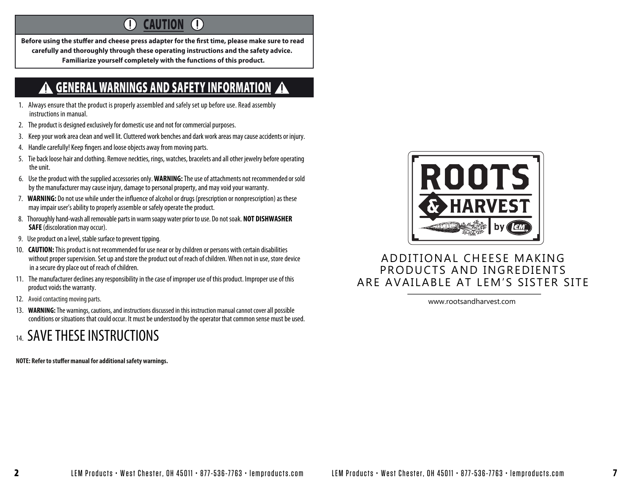#### $\left( \left| {}\right\rangle \right)$ **CAUTION**  $(\vert)$

Before using the stuffer and cheese press adapter for the first time, please make sure to read **carefully and thoroughly through these operating instructions and the safety advice. Familiarize yourself completely with the functions of this product.**

#### GENERAL WARNINGS AND SAFETY INFORMATION **AN**

- 1. Always ensure that the product is properly assembled and safely set up before use. Read assembly instructions in manual.
- 2. The product is designed exclusively for domestic use and not for commercial purposes.
- 3. Keep your work area clean and well lit. Cluttered work benches and dark work areas may cause accidents or injury.
- 4. Handle carefully! Keep fingers and loose objects away from moving parts.
- 5. Tie back loose hair and clothing. Remove neckties, rings, watches, bracelets and all other jewelry before operating the unit.
- 6. Use the product with the supplied accessories only. **WARNING:** The use of attachments not recommendedor sold by the manufacturer may cause injury, damage to personal property, and may void your warranty.
- 7. **WARNING:** Do not use while under the influence of alcohol or drugs (prescription or nonprescription) as these may impair user's ability to properly assemble or safely operate the product.
- 8. Thoroughly hand-wash all removable parts in warm soapy water prior to use. Do not soak. **NOT DISHWASHER SAFE** (discoloration may occur).
- 9. Use product on a level, stable surface to prevent tipping.
- 10. **CAUTION:** This product is not recommended for use near or by children or persons with certain disabilities without proper supervision. Set up and store the product out of reach of children. When not in use, store device in a secure dry place out of reach of children.
- 11. The manufacturer declines any responsibility in the case of improper use of this product. Improper use of this product voids the warranty.
- 12. Avoid contacting moving parts.
- 13. **WARNING:** The warnings, cautions, and instructions discussed in this instruction manual cannot cover all possible conditions or situations that could occur. It must be understood by the operator that common sense must be used.

### 14. SAVE THESE INSTRUCTIONS

**NOTE: Refer to stuffer manual for additional safety warnings.** 



### ADDITIONAL CHEESE MAKING PRODUCTS AND INGREDIENTS ARE AVAILABLE AT LEM'S SISTER SITE

www.rootsandharvest.com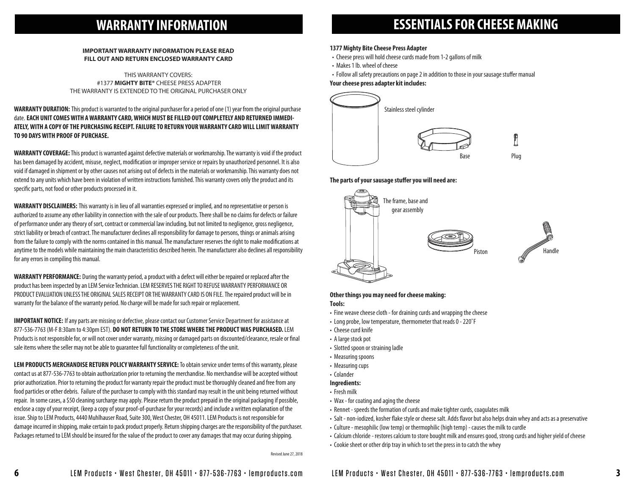### **WARRANTY INFORMATION**

#### **IMPORTANT WARRANTY INFORMATION PLEASE READ FILL OUT AND RETURN ENCLOSED WARRANTY CARD**

THIS WARRANTY COVERS: #1377 **MIGHTY BITE®** CHEESE PRESS ADAPTER THE WARRANTY IS EXTENDED TO THE ORIGINAL PURCHASER ONLY

**WARRANTY DURATION:** This product is warranted to the original purchaser for a period of one (1) year from the original purchase date. **EACH UNIT COMES WITH A WARRANTY CARD, WHICH MUST BE FILLED OUT COMPLETELY AND RETURNED IMMEDI-ATELY, WITH A COPY OF THE PURCHASING RECEIPT. FAILURE TO RETURN YOUR WARRANTY CARD WILL LIMIT WARRANTY TO 90 DAYS WITH PROOF OF PURCHASE.**

**WARRANTY COVERAGE:**This product is warranted against defective materials or workmanship. The warranty is void if the product has been damaged by accident, misuse, neglect, modification or improper service or repairs by unauthorized personnel. It is also void if damaged in shipment or by other causes not arising out of defects in the materials or workmanship. This warranty does not extend to any units which have been in violation of written instructions furnished. This warranty covers only the product and its specific parts, not food or other products processed in it.

**WARRANTY DISCLAIMERS:** This warranty is in lieu of all warranties expressed or implied, and no representative or person is authorized to assume any other liability in connection with the sale of our products. There shall be no claims for defects or failure of performance under any theory of sort, contract or commercial law including, but not limited to negligence, gross negligence, strict liability or breach of contract. The manufacturer declines all responsibility for damage to persons, things or animals arising from the failure to comply with the norms contained in this manual. The manufacturer reserves the right to make modifications at anytime to the models while maintaining the main characteristics described herein. The manufacturer also declines all responsibility for any errors in compiling this manual.

**WARRANTY PERFORMANCE:** During the warranty period, a product with a defect will either be repaired or replaced after the product has been inspected by an LEM Service Technician. LEM RESERVES THE RIGHT TO REFUSE WARRANTY PERFORMANCE OR PRODUCT EVALUATION UNLESS THE ORIGINAL SALES RECEIPT OR THE WARRANTY CARD IS ON FILE.The repaired product will be in warranty for the balance of the warranty period. No charge will be made for such repair or replacement.

**IMPORTANT NOTICE:** If any parts are missing or defective, please contact our Customer Service Department for assistance at 877-536-7763 (M-F 8:30am to 4:30pm EST). **DO NOT RETURN TO THE STORE WHERE THE PRODUCT WAS PURCHASED.** LEM Products is not responsible for, or will not cover under warranty, missing or damaged parts on discounted/clearance, resale or nal sale items where the seller may not be able to guarantee full functionality or completeness of the unit.

**LEM PRODUCTS MERCHANDISE RETURN POLICY WARRANTY SERVICE:** To obtain service under terms of this warranty, please contact us at 877-536-7763 to obtain authorization prior to returning the merchandise. No merchandise will be accepted without prior authorization. Prior to returning the product for warranty repair the product must be thoroughly cleaned and free from any food particles or other debris. Failure of the purchaser to comply with this standard may result in the unit being returned without repair. In some cases, a \$50 cleaning surcharge may apply. Please return the product prepaid in the original packaging if possible, enclose a copy of your receipt, (keep a copy of your proof-of-purchase for your records) and include a written explanation of the issue. Ship to LEM Products, 4440 Muhlhauser Road, Suite 300, West Chester, OH 45011. LEM Products is not responsible for damage incurred in shipping, make certain to pack product properly. Return shipping charges are the responsibility of the purchaser. Packages returned to LEM should be insured for the value of the product to cover any damages that may occur during shipping.

### **ESSENTIALS FOR CHEESE MAKING**

#### **1377 Mighty Bite Cheese Press Adapter**

- Cheese press will hold cheese curds made from 1-2 gallons of milk
- Makes 1 lb. wheel of cheese
- Follow all safety precautions on page 2 in addition to those in your sausage stuffer manual **Your cheese press adapter kit includes:**



#### The parts of your sausage stuffer you will need are:



#### **Other things you may need for cheese making: Tools:**

- Fine weave cheese cloth for draining curds and wrapping the cheese
- Long probe, low temperature, thermometer that reads 0 220˚F
- Cheese curd knife
- A large stock pot
- Slotted spoon or straining ladle
- Measuring spoons
- Measuring cups
- Colander

### **Ingredients:**

- Fresh milk
- Wax for coating and aging the cheese
- Rennet speeds the formation of curds and make tighter curds, coagulates milk
- Salt non-iodized, kosher flake style or cheese salt. Adds flavor but also helps drain whey and acts as a preservative
- Culture mesophilic (low temp) or thermophilic (high temp) causes the milk to curdle
- Calcium chloride restores calcium to store bought milk and ensures good, strong curds and higher yield of cheese
- Cookie sheet or other drip tray in which to set the press in to catch the whey

Revised June 27, 2018